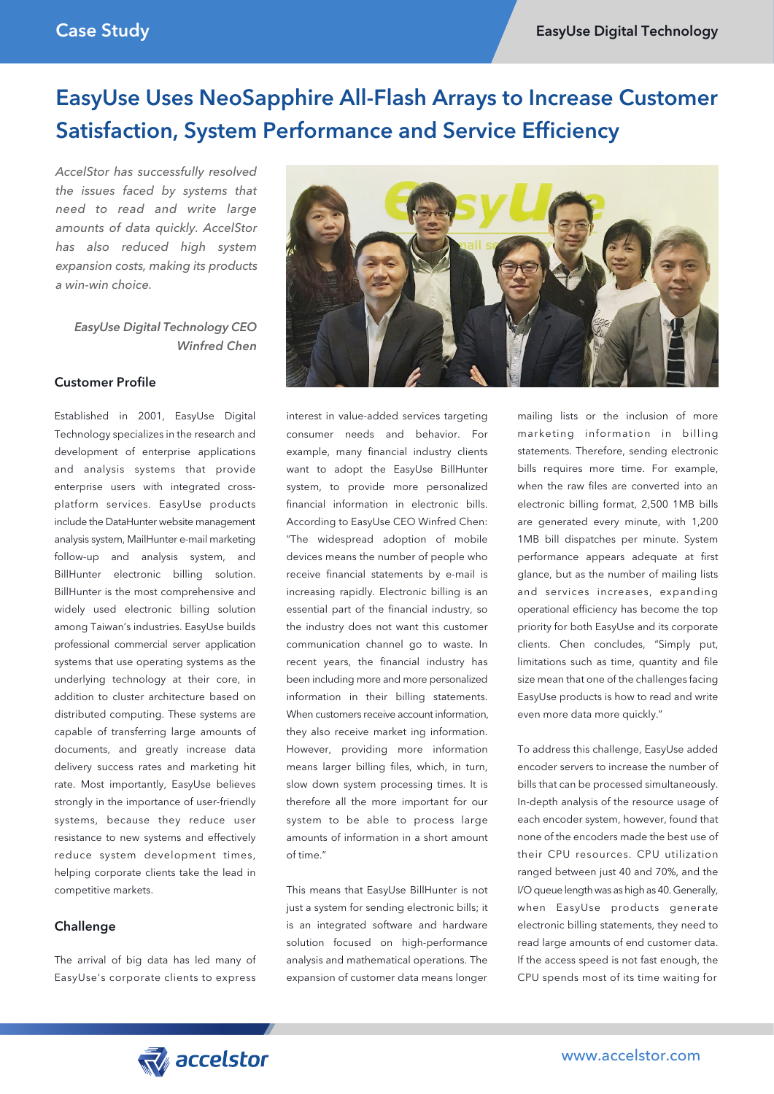# EasyUse Uses NeoSapphire All-Flash Arrays to Increase Customer Satisfaction, System Performance and Service Efficiency

*AccelStor has successfully resolved the issues faced by systems that need to read and write large amounts of data quickly. AccelStor has also reduced high system expansion costs, making its products a win-win choice.*

 *EasyUse Digital Technology CEO Winfred Chen*

### Customer Profile

Established in 2001, EasyUse Digital Technology specializes in the research and development of enterprise applications and analysis systems that provide enterprise users with integrated crossplatform services. EasyUse products include the DataHunter website management analysis system, MailHunter e-mail marketing follow-up and analysis system, and BillHunter electronic billing solution. BillHunter is the most comprehensive and widely used electronic billing solution among Taiwan's industries. EasyUse builds professional commercial server application systems that use operating systems as the underlying technology at their core, in addition to cluster architecture based on distributed computing. These systems are capable of transferring large amounts of documents, and greatly increase data delivery success rates and marketing hit rate. Most importantly, EasyUse believes strongly in the importance of user-friendly systems, because they reduce user resistance to new systems and effectively reduce system development times, helping corporate clients take the lead in competitive markets.

### Challenge

The arrival of big data has led many of EasyUse's corporate clients to express



interest in value-added services targeting consumer needs and behavior. For example, many financial industry clients want to adopt the EasyUse BillHunter system, to provide more personalized financial information in electronic bills. According to EasyUse CEO Winfred Chen: "The widespread adoption of mobile devices means the number of people who receive financial statements by e-mail is increasing rapidly. Electronic billing is an essential part of the financial industry, so the industry does not want this customer communication channel go to waste. In recent years, the financial industry has been including more and more personalized information in their billing statements. When customers receive account information, they also receive market ing information. However, providing more information means larger billing files, which, in turn, slow down system processing times. It is therefore all the more important for our system to be able to process large amounts of information in a short amount of time."

This means that EasyUse BillHunter is not just a system for sending electronic bills; it is an integrated software and hardware solution focused on high-performance analysis and mathematical operations. The expansion of customer data means longer mailing lists or the inclusion of more marketing information in billing statements. Therefore, sending electronic bills requires more time. For example, when the raw files are converted into an electronic billing format, 2,500 1MB bills are generated every minute, with 1,200 1MB bill dispatches per minute. System performance appears adequate at first glance, but as the number of mailing lists and services increases, expanding operational efficiency has become the top priority for both EasyUse and its corporate clients. Chen concludes, "Simply put, limitations such as time, quantity and file size mean that one of the challenges facing EasyUse products is how to read and write even more data more quickly."

To address this challenge, EasyUse added encoder servers to increase the number of bills that can be processed simultaneously. In-depth analysis of the resource usage of each encoder system, however, found that none of the encoders made the best use of their CPU resources. CPU utilization ranged between just 40 and 70%, and the I/O queue length was as high as 40. Generally, when EasyUse products generate electronic billing statements, they need to read large amounts of end customer data. If the access speed is not fast enough, the CPU spends most of its time waiting for